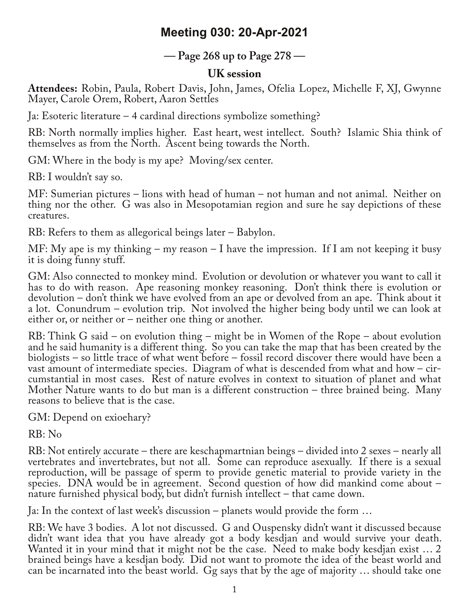## **Meeting 030: 20-Apr-2021**

**— Page 268 up to Page 278 —**

## **UK session**

**Attendees:** Robin, Paula, Robert Davis, John, James, Ofelia Lopez, Michelle F, XJ, Gwynne Mayer, Carole Orem, Robert, Aaron Settles

Ja: Esoteric literature – 4 cardinal directions symbolize something?

RB: North normally implies higher. East heart, west intellect. South? Islamic Shia think of themselves as from the North. Ascent being towards the North.

GM: Where in the body is my ape? Moving/sex center.

RB: I wouldn't say so.

MF: Sumerian pictures – lions with head of human – not human and not animal. Neither on thing nor the other. G was also in Mesopotamian region and sure he say depictions of these creatures.

RB: Refers to them as allegorical beings later – Babylon.

MF: My ape is my thinking – my reason – I have the impression. If I am not keeping it busy it is doing funny stuff.

GM: Also connected to monkey mind. Evolution or devolution or whatever you want to call it has to do with reason. Ape reasoning monkey reasoning. Don't think there is evolution or devolution – don't think we have evolved from an ape or devolved from an ape. Think about it a lot. Conundrum – evolution trip. Not involved the higher being body until we can look at either or, or neither or – neither one thing or another.

RB: Think G said – on evolution thing – might be in Women of the Rope – about evolution and he said humanity is a different thing. So you can take the map that has been created by the biologists – so little trace of what went before – fossil record discover there would have been a cumstantial in most cases. Rest of nature evolves in context to situation of planet and what Mother Nature wants to do but man is a different construction – three brained being. Many reasons to believe that is the case.

GM: Depend on exioehary?

RB: No

RB: Not entirely accurate – there are keschapmartnian beings – divided into 2 sexes – nearly all vertebrates and invertebrates, but not all. Some can reproduce asexually. If there is a sexual reproduction, will be passage of sperm to provide genetic material to provide variety in the species. DNA would be in agreement. Second question of how did mankind come about – nature furnished physical body, but didn't furnish intellect – that came down.

Ja: In the context of last week's discussion – planets would provide the form …

RB: We have 3 bodies. A lot not discussed. G and Ouspensky didn't want it discussed because didn't want idea that you have already got a body kesdjan and would survive your death. Wanted it in your mind that it might not be the case. Need to make body kesdjan exist ... 2 brained beings have a kesdjan body. Did not want to promote the idea of the beast world and can be incarnated into the beast world. Gg says that by the age of majority … should take one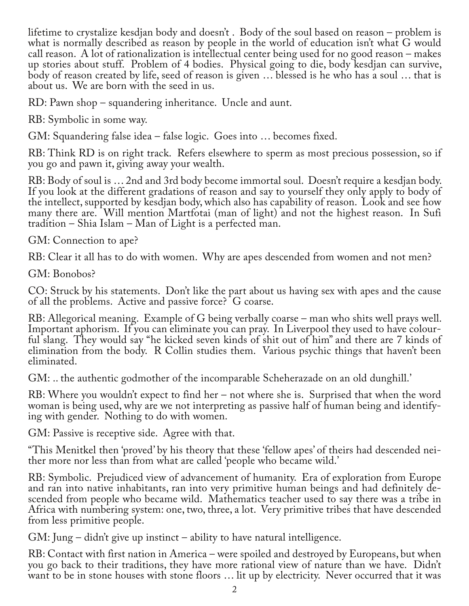lifetime to crystalize kesdjan body and doesn't . Body of the soul based on reason – problem is what is normally described as reason by people in the world of education isn't what G would call reason. A lot of rationalization is intellectual center being used for no good reason – makes up stories about stuff. Problem of 4 bodies. Physical going to die, body kesdjan can survive, body of reason created by life, seed of reason is given … blessed is he who has a soul … that is about us. We are born with the seed in us.

RD: Pawn shop – squandering inheritance. Uncle and aunt.

RB: Symbolic in some way.

GM: Squandering false idea – false logic. Goes into … becomes fixed.

RB: Think RD is on right track. Refers elsewhere to sperm as most precious possession, so if you go and pawn it, giving away your wealth.

RB: Body of soul is … 2nd and 3rd body become immortal soul. Doesn't require a kesdjan body. If you look at the different gradations of reason and say to yourself they only apply to body of the intellect, supported by kesdjan body, which also has capability of reason. Look and see how many there are. Will mention Martfotai (man of light) and not the highest reason. In Sufi tradition – Shia Islam – Man of Light is a perfected man.

GM: Connection to ape?

RB: Clear it all has to do with women. Why are apes descended from women and not men?

GM: Bonobos?

CO: Struck by his statements. Don't like the part about us having sex with apes and the cause of all the problems. Active and passive force? G coarse.

RB: Allegorical meaning. Example of G being verbally coarse – man who shits well prays well. Important aphorism. If you can eliminate you can pray. In Liverpool they used to have colourful slang. They would say "he kicked seven kinds of shit out of him" and there are 7 kinds of elimination from the body. R Collin studies them. Various psychic things that haven't been eliminated.

GM: .. the authentic godmother of the incomparable Scheherazade on an old dunghill.'

RB: Where you wouldn't expect to find her – not where she is. Surprised that when the word woman is being used, why are we not interpreting as passive half of human being and identifying with gender. Nothing to do with women.

GM: Passive is receptive side. Agree with that.

"This Menitkel then 'proved' by his theory that these 'fellow apes' of theirs had descended nei‐ ther more nor less than from what are called 'people who became wild.'

RB: Symbolic. Prejudiced view of advancement of humanity. Era of exploration from Europe and ran into native inhabitants, ran into very primitive human beings and had definitely de‐ scended from people who became wild. Mathematics teacher used to say there was a tribe in Africa with numbering system: one, two, three, a lot. Very primitive tribes that have descended from less primitive people.

GM: Jung – didn't give up instinct – ability to have natural intelligence.

RB: Contact with first nation in America – were spoiled and destroyed by Europeans, but when you go back to their traditions, they have more rational view of nature than we have. Didn't want to be in stone houses with stone floors … lit up by electricity. Never occurred that it was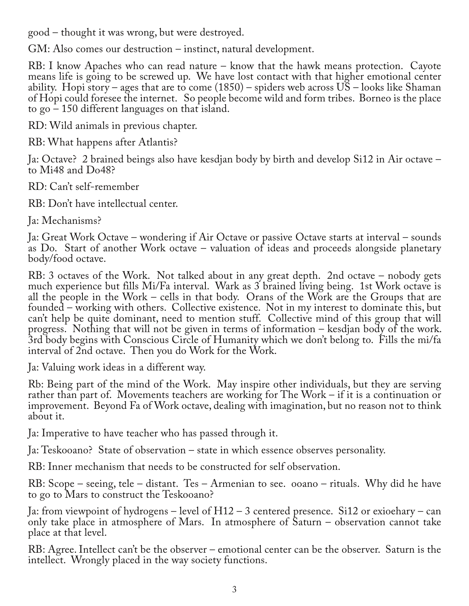good – thought it was wrong, but were destroyed.

GM: Also comes our destruction – instinct, natural development.

RB: I know Apaches who can read nature – know that the hawk means protection. Cayote means life is going to be screwed up. We have lost contact with that higher emotional center ability. Hopi story – ages that are to come (1850) – spiders web across US – looks like Shaman of Hopi could foresee the internet. So people become wild and form tribes. Borneo is the place to go – 150 different languages on that island.

RD: Wild animals in previous chapter.

RB: What happens after Atlantis?

Ja: Octave? 2 brained beings also have kesdjan body by birth and develop Si12 in Air octave – to Mi48 and Do48?

RD: Can't self-remember

RB: Don't have intellectual center.

Ja: Mechanisms?

Ja: Great Work Octave – wondering if Air Octave or passive Octave starts at interval – sounds as Do. Start of another Work octave – valuation of ideas and proceeds alongside planetary body/food octave.

RB: 3 octaves of the Work. Not talked about in any great depth. 2nd octave – nobody gets much experience but fills Mi/Fa interval. Wark as 3 brained living being. 1st Work octave is all the people in the Work – cells in that body. Orans of the Work are the Groups that are founded – working with others. Collective existence. Not in my interest to dominate this, but can't help be quite dominant, need to mention stuff. Collective mind of this group that will progress. Nothing that will not be given in terms of information – kesdjan body of the work. 3rd body begins with Conscious Circle of Humanity which we don't belong to. Fills the mi/fa interval of 2nd octave. Then you do Work for the Work.

Ja: Valuing work ideas in a different way.

Rb: Being part of the mind of the Work. May inspire other individuals, but they are serving rather than part of. Movements teachers are working for The Work – if it is a continuation or improvement. Beyond Fa of Work octave, dealing with imagination, but no reason not to think about it.

Ja: Imperative to have teacher who has passed through it.

Ja: Teskooano? State of observation – state in which essence observes personality.

RB: Inner mechanism that needs to be constructed for self observation.

RB: Scope – seeing, tele – distant. Tes – Armenian to see. ooano – rituals. Why did he have to go to Mars to construct the Teskooano?

Ja: from viewpoint of hydrogens – level of H12 – 3 centered presence. Si12 or exioehary – can only take place in atmosphere of Mars. In atmosphere of Saturn – observation cannot take place at that level.

RB: Agree. Intellect can't be the observer – emotional center can be the observer. Saturn is the intellect. Wrongly placed in the way society functions.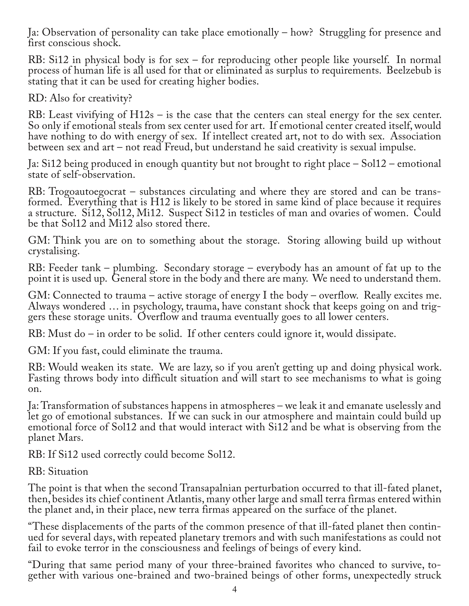Ja: Observation of personality can take place emotionally – how? Struggling for presence and first conscious shock.

RB: Si12 in physical body is for sex – for reproducing other people like yourself. In normal process of human life is all used for that or eliminated as surplus to requirements. Beelzebub is stating that it can be used for creating higher bodies.

RD: Also for creativity?

RB: Least vivifying of H12s – is the case that the centers can steal energy for the sex center. So only if emotional steals from sex center used for art. If emotional center created itself, would have nothing to do with energy of sex. If intellect created art, not to do with sex. Association between sex and art – not read Freud, but understand he said creativity is sexual impulse.

Ja: Si12 being produced in enough quantity but not brought to right place – Sol12 – emotional state of self-observation.

RB: Trogoautoegocrat – substances circulating and where they are stored and can be trans– formed. Everything that is H12 is likely to be stored in same kind of place because it requires a structure. Si12, Sol12, Mi12. Suspect Si12 in testicles of man and ovaries of women. Could be that Sol12 and Mi12 also stored there.

GM: Think you are on to something about the storage. Storing allowing build up without crystalising.

RB: Feeder tank – plumbing. Secondary storage – everybody has an amount of fat up to the point it is used up. General store in the body and there are many. We need to understand them.

GM: Connected to trauma – active storage of energy I the body – overflow. Really excites me. Always wondered … in psychology, trauma, have constant shock that keeps going on and trig‐ gers these storage units. Overflow and trauma eventually goes to all lower centers.

RB: Must do – in order to be solid. If other centers could ignore it, would dissipate.

GM: If you fast, could eliminate the trauma.

RB: Would weaken its state. We are lazy, so if you aren't getting up and doing physical work. Fasting throws body into difficult situation and will start to see mechanisms to what is going on.

Ja: Transformation of substances happens in atmospheres – we leak it and emanate uselessly and let go of emotional substances. If we can suck in our atmosphere and maintain could build up emotional force of Sol12 and that would interact with Si12 and be what is observing from the planet Mars.

RB: If Si12 used correctly could become Sol12.

RB: Situation

The point is that when the second Transapalnian perturbation occurred to that ill-fated planet, then, besides its chief continent Atlantis, many other large and small terra firmas entered within the planet and, in their place, new terra firmas appeared on the surface of the planet.

"These displacements of the parts of the common presence of that ill-fated planet then contin‐ ued for several days, with repeated planetary tremors and with such manifestations as could not fail to evoke terror in the consciousness and feelings of beings of every kind.

"During that same period many of your three-brained favorites who chanced to survive, to‐ gether with various one-brained and two-brained beings of other forms, unexpectedly struck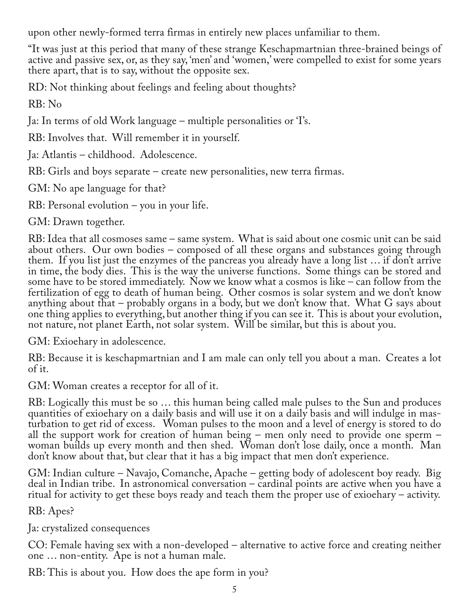upon other newly-formed terra firmas in entirely new places unfamiliar to them.

"It was just at this period that many of these strange Keschapmartnian three-brained beings of active and passive sex, or, as they say, 'men' and 'women,' were compelled to exist for some years there apart, that is to say, without the opposite sex.

RD: Not thinking about feelings and feeling about thoughts?

RB: No

Ja: In terms of old Work language – multiple personalities or 'I's.

RB: Involves that. Will remember it in yourself.

Ja: Atlantis – childhood. Adolescence.

RB: Girls and boys separate – create new personalities, new terra firmas.

GM: No ape language for that?

RB: Personal evolution – you in your life.

GM: Drawn together.

RB: Idea that all cosmoses same – same system. What is said about one cosmic unit can be said about others. Our own bodies – composed of all these organs and substances going through them. If you list just the enzymes of the pancreas you already have a long list … if don't arrive in time, the body dies. This is the way the universe functions. Some things can be stored and some have to be stored immediately. Now we know what a cosmos is like – can follow from the fertilization of egg to death of human being. Other cosmos is solar system and we don't know anything about that – probably organs in a body, but we don't know that. What G says about one thing applies to everything, but another thing if you can see it. This is about your evolution, not nature, not planet Earth, not solar system. Will be similar, but this is about you.

GM: Exioehary in adolescence.

RB: Because it is keschapmartnian and I am male can only tell you about a man. Creates a lot of it.

GM: Woman creates a receptor for all of it.

RB: Logically this must be so … this human being called male pulses to the Sun and produces turbation to get rid of excess. Woman pulses to the moon and a level of energy is stored to do all the support work for creation of human being – men only need to provide one sperm – woman builds up every month and then shed. Woman don't lose daily, once a month. Man don't know about that, but clear that it has a big impact that men don't experience.

GM: Indian culture – Navajo, Comanche, Apache – getting body of adolescent boy ready. Big deal in Indian tribe. In astronomical conversation – cardinal points are active when you have a ritual for activity to get these boys ready and teach them the proper use of exioehary – activity.

RB: Apes?

Ja: crystalized consequences

CO: Female having sex with a non-developed – alternative to active force and creating neither one … non-entity. Ape is not a human male.

RB: This is about you. How does the ape form in you?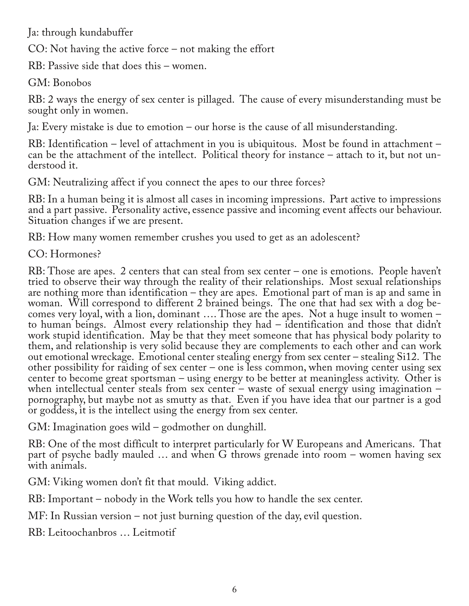Ja: through kundabuffer

CO: Not having the active force – not making the effort

RB: Passive side that does this – women.

GM: Bonobos

RB: 2 ways the energy of sex center is pillaged. The cause of every misunderstanding must be sought only in women.

Ja: Every mistake is due to emotion – our horse is the cause of all misunderstanding.

RB: Identification – level of attachment in you is ubiquitous. Most be found in attachment – can be the attachment of the intellect. Political theory for instance – attach to it, but not un‐ derstood it.

GM: Neutralizing affect if you connect the apes to our three forces?

RB: In a human being it is almost all cases in incoming impressions. Part active to impressions and a part passive. Personality active, essence passive and incoming event affects our behaviour. Situation changes if we are present.

RB: How many women remember crushes you used to get as an adolescent?

CO: Hormones?

RB: Those are apes. 2 centers that can steal from sex center – one is emotions. People haven't tried to observe their way through the reality of their relationships. Most sexual relationships are nothing more than identification – they are apes. Emotional part of man is ap and same in woman. Will correspond to different 2 brained beings. The one that had sex with a dog becomes very loyal, with a lion, dominant …. Those are the apes. Not a huge insult to women – to human beings. Almost every relationship they had – identification and those that didn't work stupid identification. May be that they meet someone that has physical body polarity to them, and relationship is very solid because they are complements to each other and can work out emotional wreckage. Emotional center stealing energy from sex center – stealing Si12. The other possibility for raiding of sex center – one is less common, when moving center using sex center to become great sportsman – using energy to be better at meaningless activity. Other is when intellectual center steals from sex center – waste of sexual energy using imagination – pornography, but maybe not as smutty as that. Even if you have idea that our partner is a god or goddess, it is the intellect using the energy from sex center.

GM: Imagination goes wild – godmother on dunghill.

RB: One of the most difficult to interpret particularly for W Europeans and Americans. That part of psyche badly mauled … and when G throws grenade into room – women having sex with animals.

GM: Viking women don't fit that mould. Viking addict.

RB: Important – nobody in the Work tells you how to handle the sex center.

MF: In Russian version – not just burning question of the day, evil question.

RB: Leitoochanbros … Leitmotif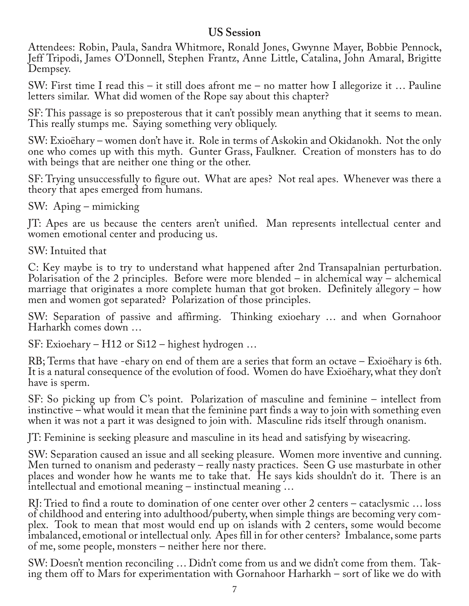## **US Session**

Attendees: Robin, Paula, Sandra Whitmore, Ronald Jones, Gwynne Mayer, Bobbie Pennock, Jeff Tripodi, James O'Donnell, Stephen Frantz, Anne Little, Catalina, John Amaral, Brigitte Dempsey.

SW: First time I read this – it still does afront me – no matter how I allegorize it … Pauline letters similar. What did women of the Rope say about this chapter?

SF: This passage is so preposterous that it can't possibly mean anything that it seems to mean. This really stumps me. Saying something very obliquely.

SW: Exioëhary – women don't have it. Role in terms of Askokin and Okidanokh. Not the only one who comes up with this myth. Gunter Grass, Faulkner. Creation of monsters has to do with beings that are neither one thing or the other.

SF: Trying unsuccessfully to figure out. What are apes? Not real apes. Whenever was there a theory that apes emerged from humans.

SW: Aping – mimicking

JT: Apes are us because the centers aren't unified. Man represents intellectual center and women emotional center and producing us.

SW: Intuited that

C: Key maybe is to try to understand what happened after 2nd Transapalnian perturbation. Polarisation of the 2 principles. Before were more blended – in alchemical way – alchemical marriage that originates a more complete human that got broken. Definitely allegory – how men and women got separated? Polarization of those principles.

SW: Separation of passive and affirming. Thinking exioehary … and when Gornahoor Harharkh comes down …

SF: Exioehary – H12 or Si12 – highest hydrogen …

RB; Terms that have -ehary on end of them are a series that form an octave – Exioëhary is 6th. It is a natural consequence of the evolution of food. Women do have Exioëhary, what they don't have is sperm.

SF: So picking up from C's point. Polarization of masculine and feminine – intellect from instinctive – what would it mean that the feminine part finds a way to join with something even when it was not a part it was designed to join with. Masculine rids itself through onanism.

JT: Feminine is seeking pleasure and masculine in its head and satisfying by wiseacring.

SW: Separation caused an issue and all seeking pleasure. Women more inventive and cunning. Men turned to onanism and pederasty – really nasty practices. Seen G use masturbate in other places and wonder how he wants me to take that. He says kids shouldn't do it. There is an intellectual and emotional meaning – instinctual meaning …

RJ: Tried to find a route to domination of one center over other 2 centers – cataclysmic … loss of childhood and entering into adulthood/puberty, when simple things are becoming very com‐ plex. Took to mean that most would end up on islands with 2 centers, some would become imbalanced, emotional or intellectual only. Apes fill in for other centers? Imbalance, some parts of me, some people, monsters – neither here nor there.

SW: Doesn't mention reconciling … Didn't come from us and we didn't come from them. Tak-<br>ing them off to Mars for experimentation with Gornahoor Harharkh – sort of like we do with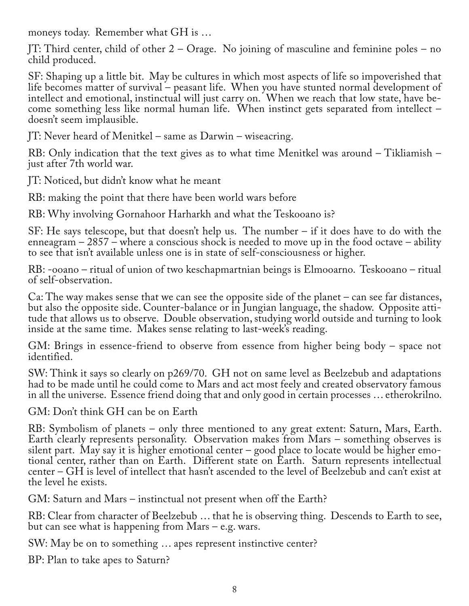moneys today. Remember what GH is …

JT: Third center, child of other 2 – Orage. No joining of masculine and feminine poles – no child produced.

SF: Shaping up a little bit. May be cultures in which most aspects of life so impoverished that life becomes matter of survival – peasant life. When you have stunted normal development of intellect and emotional, instinctual will just carry on. When we reach that low state, have be‐ come something less like normal human life. When instinct gets separated from intellect – doesn't seem implausible.

JT: Never heard of Menitkel – same as Darwin – wiseacring.

RB: Only indication that the text gives as to what time Menitkel was around – Tikliamish – just after 7th world war.

JT: Noticed, but didn't know what he meant

RB: making the point that there have been world wars before

RB: Why involving Gornahoor Harharkh and what the Teskooano is?

SF: He says telescope, but that doesn't help us. The number – if it does have to do with the enneagram – 2857 – where a conscious shock is needed to move up in the food octave – ability to see that isn't available unless one is in state of self-consciousness or higher.

RB: -ooano – ritual of union of two keschapmartnian beings is Elmooarno. Teskooano – ritual of self-observation.

Ca: The way makes sense that we can see the opposite side of the planet – can see far distances, but also the opposite side. Counter-balance or in Jungian language, the shadow. Opposite attitude that allows us to observe. Double observation, studying world outside and turning to look inside at the same time. Makes sense relating to last-week's reading.

GM: Brings in essence-friend to observe from essence from higher being body – space not identified.

SW: Think it says so clearly on p269/70. GH not on same level as Beelzebub and adaptations had to be made until he could come to Mars and act most feely and created observatory famous in all the universe. Essence friend doing that and only good in certain processes … etherokrilno.

GM: Don't think GH can be on Earth

RB: Symbolism of planets – only three mentioned to any great extent: Saturn, Mars, Earth. Earth clearly represents personality. Observation makes from Mars – something observes is silent part. May say it is higher emotional center – good place to locate would be higher emotional center, rather than on Earth. Different state on Earth. Saturn represents intellectual center – GH is level of intellect that hasn't ascended to the level of Beelzebub and can't exist at the level he exists.

GM: Saturn and Mars – instinctual not present when off the Earth?

RB: Clear from character of Beelzebub … that he is observing thing. Descends to Earth to see, but can see what is happening from Mars – e.g. wars.

SW: May be on to something … apes represent instinctive center?

BP: Plan to take apes to Saturn?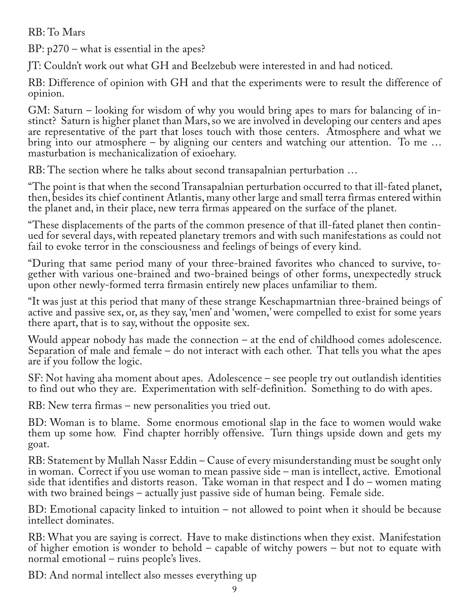RB: To Mars

BP: p270 – what is essential in the apes?

JT: Couldn't work out what GH and Beelzebub were interested in and had noticed.

RB: Difference of opinion with GH and that the experiments were to result the difference of opinion.

GM: Saturn – looking for wisdom of why you would bring apes to mars for balancing of instinct? Saturn is higher planet than Mars, so we are involved in developing our centers and apes are representative of the part that loses touch with those centers. Atmosphere and what we bring into our atmosphere – by aligning our centers and watching our attention. To me … masturbation is mechanicalization of exioehary.

RB: The section where he talks about second transapalnian perturbation …

"The point is that when the second Transapalnian perturbation occurred to that ill-fated planet, then, besides its chief continent Atlantis, many other large and small terra firmas entered within the planet and, in their place, new terra firmas appeared on the surface of the planet.

"These displacements of the parts of the common presence of that ill-fated planet then contin‐ ued for several days, with repeated planetary tremors and with such manifestations as could not fail to evoke terror in the consciousness and feelings of beings of every kind.

"During that same period many of your three-brained favorites who chanced to survive, to‐ gether with various one-brained and two-brained beings of other forms, unexpectedly struck upon other newly-formed terra firmasin entirely new places unfamiliar to them.

"It was just at this period that many of these strange Keschapmartnian three-brained beings of active and passive sex, or, as they say, 'men' and 'women,' were compelled to exist for some years there apart, that is to say, without the opposite sex.

Would appear nobody has made the connection – at the end of childhood comes adolescence. Separation of male and female – do not interact with each other. That tells you what the apes are if you follow the logic.

SF: Not having aha moment about apes. Adolescence – see people try out outlandish identities to find out who they are. Experimentation with self-definition. Something to do with apes.

RB: New terra firmas – new personalities you tried out.

BD: Woman is to blame. Some enormous emotional slap in the face to women would wake them up some how. Find chapter horribly offensive. Turn things upside down and gets my goat.

RB: Statement by Mullah Nassr Eddin – Cause of every misunderstanding must be sought only in woman. Correct if you use woman to mean passive side – man is intellect, active. Emotional side that identifies and distorts reason. Take woman in that respect and I do – women mating with two brained beings – actually just passive side of human being. Female side.

BD: Emotional capacity linked to intuition – not allowed to point when it should be because intellect dominates.

RB: What you are saying is correct. Have to make distinctions when they exist. Manifestation of higher emotion is wonder to behold – capable of witchy powers – but not to equate with normal emotional – ruins people's lives.

BD: And normal intellect also messes everything up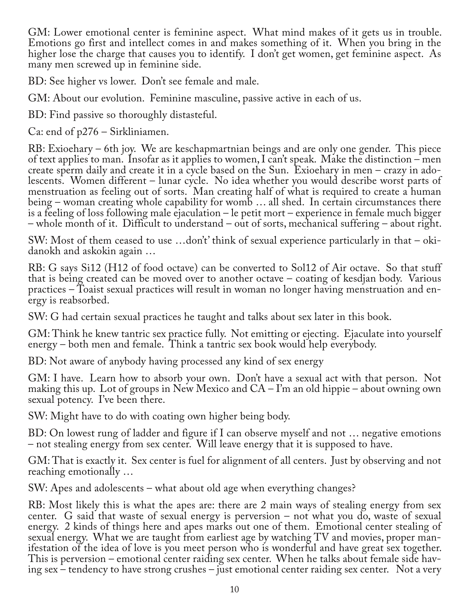GM: Lower emotional center is feminine aspect. What mind makes of it gets us in trouble. Emotions go first and intellect comes in and makes something of it. When you bring in the higher lose the charge that causes you to identify. I don't get women, get feminine aspect. As many men screwed up in feminine side.

BD: See higher vs lower. Don't see female and male.

GM: About our evolution. Feminine masculine, passive active in each of us.

BD: Find passive so thoroughly distasteful.

Ca: end of p276 – Sirkliniamen.

RB: Exioehary – 6th joy. We are keschapmartnian beings and are only one gender. This piece of text applies to man. Insofar as it applies to women, I can't speak. Make the distinction – men create sperm daily and create it in a cycle based on the Sun. Exioehary in men – crazy in adolescents. Women different – lunar cycle. No idea whether you would describe worst parts of menstruation as feeling out of sorts. Man creating half of what is required to create a human being – woman creating whole capability for womb … all shed. In certain circumstances there is a feeling of loss following male ejaculation – le petit mort – experience in female much bigger – whole month of it. Difficult to understand – out of sorts, mechanical suffering – about right.

SW: Most of them ceased to use ...don't' think of sexual experience particularly in that – okidanokh and askokin again …

RB: G says Si12 (H12 of food octave) can be converted to Sol12 of Air octave. So that stuff that is being created can be moved over to another octave – coating of kesdjan body. Various practices – Toaist sexual practices will result in woman no longer having menstruation and en‐ ergy is reabsorbed.

SW: G had certain sexual practices he taught and talks about sex later in this book.

GM: Think he knew tantric sex practice fully. Not emitting or ejecting. Ejaculate into yourself energy – both men and female. Think a tantric sex book would help everybody.

BD: Not aware of anybody having processed any kind of sex energy

GM: I have. Learn how to absorb your own. Don't have a sexual act with that person. Not making this up. Lot of groups in New Mexico and  $CA - I'm$  an old hippie – about owning own sexual potency. I've been there.

SW: Might have to do with coating own higher being body.

BD: On lowest rung of ladder and figure if I can observe myself and not … negative emotions – not stealing energy from sex center. Will leave energy that it is supposed to have.

GM: That is exactly it. Sex center is fuel for alignment of all centers. Just by observing and not reaching emotionally …

SW: Apes and adolescents – what about old age when everything changes?

RB: Most likely this is what the apes are: there are 2 main ways of stealing energy from sex center. G said that waste of sexual energy is perversion – not what you do, waste of sexual energy. 2 kinds of things here and apes marks out one of them. Emotional center stealing of sexual energy. What we are taught from earliest age by watching TV and movies, proper manifestation of the idea of love is you meet person who is wonderful and have great sex together.<br>This is perversion – emotional center raiding sex center. When he talks about female side having sex – tendency to have strong crushes – just emotional center raiding sex center. Not a very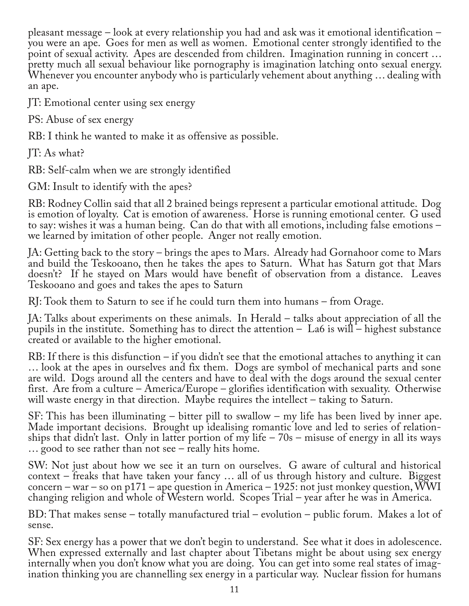pleasant message – look at every relationship you had and ask was it emotional identification – you were an ape. Goes for men as well as women. Emotional center strongly identified to the point of sexual activity. Apes are descended from children. Imagination running in concert … pretty much all sexual behaviour like pornography is imagination latching onto sexual energy. Whenever you encounter anybody who is particularly vehement about anything … dealing with an ape.

JT: Emotional center using sex energy

PS: Abuse of sex energy

RB: I think he wanted to make it as offensive as possible.

JT: As what?

RB: Self-calm when we are strongly identified

GM: Insult to identify with the apes?

RB: Rodney Collin said that all 2 brained beings represent a particular emotional attitude. Dog is emotion of loyalty. Cat is emotion of awareness. Horse is running emotional center. G used to say: wishes it was a human being. Can do that with all emotions, including false emotions – we learned by imitation of other people. Anger not really emotion.

JA: Getting back to the story – brings the apes to Mars. Already had Gornahoor come to Mars and build the Teskooano, then he takes the apes to Saturn. What has Saturn got that Mars doesn't? If he stayed on Mars would have benefit of observation from a distance. Leaves Teskooano and goes and takes the apes to Saturn

RJ: Took them to Saturn to see if he could turn them into humans – from Orage.

JA: Talks about experiments on these animals. In Herald – talks about appreciation of all the pupils in the institute. Something has to direct the attention  $-$  La6 is will – highest substance created or available to the higher emotional.

RB: If there is this disfunction – if you didn't see that the emotional attaches to anything it can … look at the apes in ourselves and fix them. Dogs are symbol of mechanical parts and sone are wild. Dogs around all the centers and have to deal with the dogs around the sexual center first. Are from a culture – America/Europe – glorifies identification with sexuality. Otherwise will waste energy in that direction. Maybe requires the intellect – taking to Saturn.

SF: This has been illuminating – bitter pill to swallow – my life has been lived by inner ape. Made important decisions. Brought up idealising romantic love and led to series of relationships that didn't last. Only in latter portion of my life – 70s – misuse of energy in all its ways … good to see rather than not see – really hits home.

SW: Not just about how we see it an turn on ourselves. G aware of cultural and historical context – freaks that have taken your fancy … all of us through history and culture. Biggest concern – war – so on p171 – ape question in America – 1925: not just monkey question, WWI changing religion and whole of Western world. Scopes Trial – year after he was in America.

BD: That makes sense – totally manufactured trial – evolution – public forum. Makes a lot of sense.

SF: Sex energy has a power that we don't begin to understand. See what it does in adolescence. When expressed externally and last chapter about Tibetans might be about using sex energy internally when you don't know what you are doing. You can get into some real states of imagination thinking you are channelling sex energy in a particular way. Nuclear fission for humans